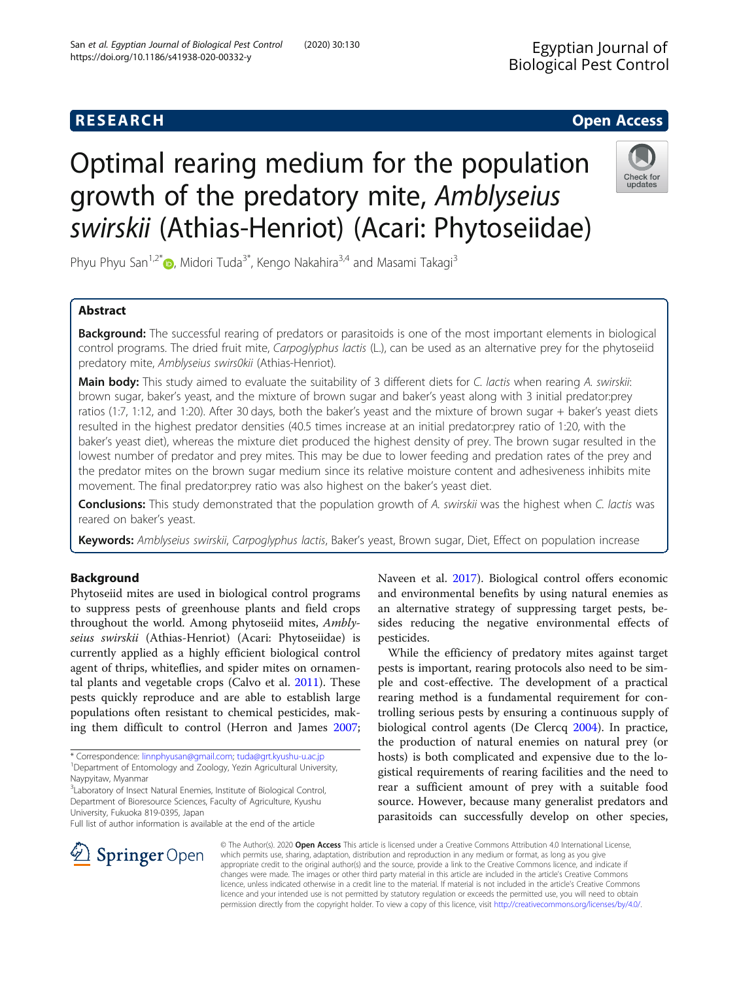# **RESEARCH CHEAR CHEAR CHEAR CHEAR CHEAR CHEAR CHEAR CHEAR CHEAR CHEAR CHEAR CHEAR CHEAR CHEAR CHEAR CHEAR CHEAR**

# Optimal rearing medium for the population growth of the predatory mite, Amblyseius swirskii (Athias-Henriot) (Acari: Phytoseiidae)



Phyu Phyu San<sup>1,2[\\*](http://orcid.org/0000-0001-8620-8010)</sup> , Midori Tuda<sup>3\*</sup>, Kengo Nakahira<sup>3,4</sup> and Masami Takagi<sup>3</sup>

# Abstract

**Background:** The successful rearing of predators or parasitoids is one of the most important elements in biological control programs. The dried fruit mite, Carpoglyphus lactis (L.), can be used as an alternative prey for the phytoseiid predatory mite, Amblyseius swirs0kii (Athias-Henriot).

Main body: This study aimed to evaluate the suitability of 3 different diets for C. lactis when rearing A. swirskii: brown sugar, baker's yeast, and the mixture of brown sugar and baker's yeast along with 3 initial predator:prey ratios (1:7, 1:12, and 1:20). After 30 days, both the baker's yeast and the mixture of brown sugar + baker's yeast diets resulted in the highest predator densities (40.5 times increase at an initial predator:prey ratio of 1:20, with the baker's yeast diet), whereas the mixture diet produced the highest density of prey. The brown sugar resulted in the lowest number of predator and prey mites. This may be due to lower feeding and predation rates of the prey and the predator mites on the brown sugar medium since its relative moisture content and adhesiveness inhibits mite movement. The final predator:prey ratio was also highest on the baker's yeast diet.

**Conclusions:** This study demonstrated that the population growth of A. swirskii was the highest when C. lactis was reared on baker's yeast.

Keywords: Amblyseius swirskii, Carpoglyphus lactis, Baker's yeast, Brown sugar, Diet, Effect on population increase

# Background

Phytoseiid mites are used in biological control programs to suppress pests of greenhouse plants and field crops throughout the world. Among phytoseiid mites, Amblyseius swirskii (Athias-Henriot) (Acari: Phytoseiidae) is currently applied as a highly efficient biological control agent of thrips, whiteflies, and spider mites on ornamental plants and vegetable crops (Calvo et al. [2011](#page-4-0)). These pests quickly reproduce and are able to establish large populations often resistant to chemical pesticides, making them difficult to control (Herron and James [2007](#page-4-0);

\* Correspondence: [linnphyusan@gmail.com;](mailto:linnphyusan@gmail.com) [tuda@grt.kyushu-u.ac.jp](mailto:tuda@grt.kyushu-u.ac.jp) <sup>1</sup> <sup>1</sup>Department of Entomology and Zoology, Yezin Agricultural University, Naypyitaw, Myanmar

<sup>3</sup>Laboratory of Insect Natural Enemies, Institute of Biological Control, Department of Bioresource Sciences, Faculty of Agriculture, Kyushu University, Fukuoka 819-0395, Japan

Full list of author information is available at the end of the article

Naveen et al. [2017\)](#page-4-0). Biological control offers economic and environmental benefits by using natural enemies as an alternative strategy of suppressing target pests, besides reducing the negative environmental effects of pesticides.

While the efficiency of predatory mites against target pests is important, rearing protocols also need to be simple and cost-effective. The development of a practical rearing method is a fundamental requirement for controlling serious pests by ensuring a continuous supply of biological control agents (De Clercq [2004\)](#page-4-0). In practice, the production of natural enemies on natural prey (or hosts) is both complicated and expensive due to the logistical requirements of rearing facilities and the need to rear a sufficient amount of prey with a suitable food source. However, because many generalist predators and parasitoids can successfully develop on other species,



© The Author(s). 2020 Open Access This article is licensed under a Creative Commons Attribution 4.0 International License, which permits use, sharing, adaptation, distribution and reproduction in any medium or format, as long as you give appropriate credit to the original author(s) and the source, provide a link to the Creative Commons licence, and indicate if changes were made. The images or other third party material in this article are included in the article's Creative Commons licence, unless indicated otherwise in a credit line to the material. If material is not included in the article's Creative Commons licence and your intended use is not permitted by statutory regulation or exceeds the permitted use, you will need to obtain permission directly from the copyright holder. To view a copy of this licence, visit <http://creativecommons.org/licenses/by/4.0/>.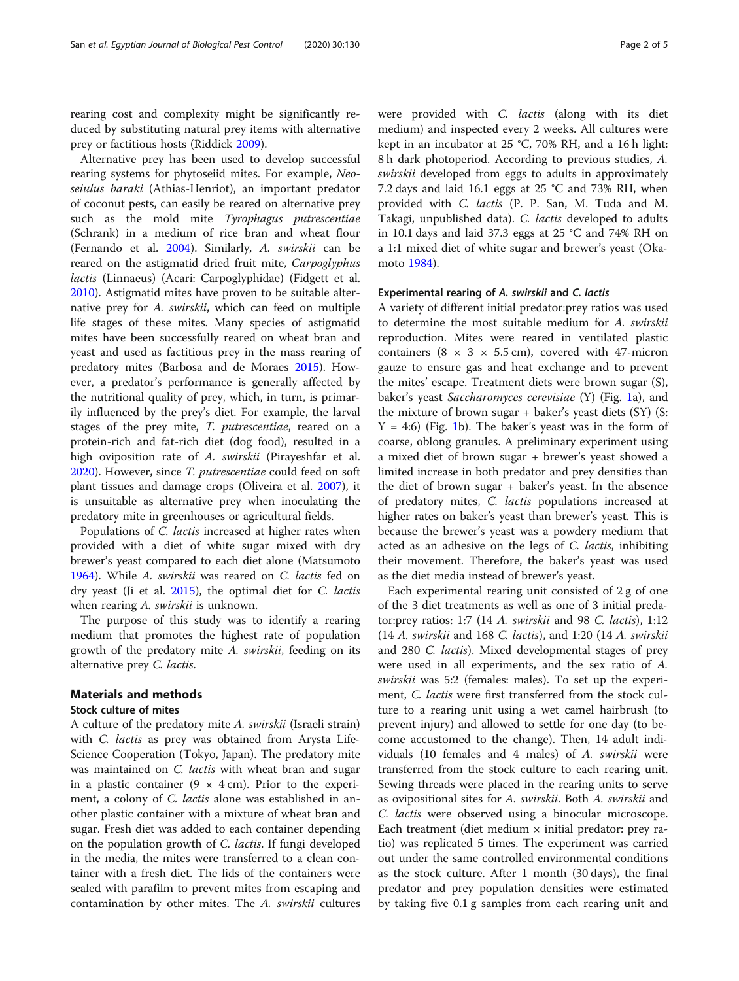rearing cost and complexity might be significantly reduced by substituting natural prey items with alternative prey or factitious hosts (Riddick [2009](#page-4-0)).

Alternative prey has been used to develop successful rearing systems for phytoseiid mites. For example, Neoseiulus baraki (Athias-Henriot), an important predator of coconut pests, can easily be reared on alternative prey such as the mold mite Tyrophagus putrescentiae (Schrank) in a medium of rice bran and wheat flour (Fernando et al. [2004\)](#page-4-0). Similarly, A. swirskii can be reared on the astigmatid dried fruit mite, Carpoglyphus lactis (Linnaeus) (Acari: Carpoglyphidae) (Fidgett et al. [2010](#page-4-0)). Astigmatid mites have proven to be suitable alternative prey for A. swirskii, which can feed on multiple life stages of these mites. Many species of astigmatid mites have been successfully reared on wheat bran and yeast and used as factitious prey in the mass rearing of predatory mites (Barbosa and de Moraes [2015](#page-4-0)). However, a predator's performance is generally affected by the nutritional quality of prey, which, in turn, is primarily influenced by the prey's diet. For example, the larval stages of the prey mite, T. putrescentiae, reared on a protein-rich and fat-rich diet (dog food), resulted in a high oviposition rate of A. *swirskii* (Pirayeshfar et al. [2020](#page-4-0)). However, since T. putrescentiae could feed on soft plant tissues and damage crops (Oliveira et al. [2007\)](#page-4-0), it is unsuitable as alternative prey when inoculating the predatory mite in greenhouses or agricultural fields.

Populations of *C. lactis* increased at higher rates when provided with a diet of white sugar mixed with dry brewer's yeast compared to each diet alone (Matsumoto [1964](#page-4-0)). While A. swirskii was reared on C. lactis fed on dry yeast (Ji et al. [2015](#page-4-0)), the optimal diet for C. lactis when rearing A. swirskii is unknown.

The purpose of this study was to identify a rearing medium that promotes the highest rate of population growth of the predatory mite A. swirskii, feeding on its alternative prey C. lactis.

#### Materials and methods

## Stock culture of mites

A culture of the predatory mite A. swirskii (Israeli strain) with *C. lactis* as prey was obtained from Arysta Life-Science Cooperation (Tokyo, Japan). The predatory mite was maintained on C. lactis with wheat bran and sugar in a plastic container  $(9 \times 4 \text{ cm})$ . Prior to the experiment, a colony of C. lactis alone was established in another plastic container with a mixture of wheat bran and sugar. Fresh diet was added to each container depending on the population growth of C. lactis. If fungi developed in the media, the mites were transferred to a clean container with a fresh diet. The lids of the containers were sealed with parafilm to prevent mites from escaping and contamination by other mites. The A. swirskii cultures were provided with C. lactis (along with its diet medium) and inspected every 2 weeks. All cultures were kept in an incubator at 25 °C, 70% RH, and a 16 h light: 8 h dark photoperiod. According to previous studies, A. swirskii developed from eggs to adults in approximately 7.2 days and laid 16.1 eggs at 25 °C and 73% RH, when provided with C. lactis (P. P. San, M. Tuda and M. Takagi, unpublished data). C. *lactis* developed to adults in 10.1 days and laid 37.3 eggs at 25 °C and 74% RH on a 1:1 mixed diet of white sugar and brewer's yeast (Okamoto [1984\)](#page-4-0).

#### Experimental rearing of A. swirskii and C. lactis

A variety of different initial predator:prey ratios was used to determine the most suitable medium for A. swirskii reproduction. Mites were reared in ventilated plastic containers  $(8 \times 3 \times 5.5 \text{ cm})$ , covered with 47-micron gauze to ensure gas and heat exchange and to prevent the mites' escape. Treatment diets were brown sugar (S), baker's yeast Saccharomyces cerevisiae (Y) (Fig. [1](#page-2-0)a), and the mixture of brown sugar + baker's yeast diets (SY) (S:  $Y = 4:6$ ) (Fig. [1](#page-2-0)b). The baker's yeast was in the form of coarse, oblong granules. A preliminary experiment using a mixed diet of brown sugar + brewer's yeast showed a limited increase in both predator and prey densities than the diet of brown sugar + baker's yeast. In the absence of predatory mites, C. lactis populations increased at higher rates on baker's yeast than brewer's yeast. This is because the brewer's yeast was a powdery medium that acted as an adhesive on the legs of C. lactis, inhibiting their movement. Therefore, the baker's yeast was used as the diet media instead of brewer's yeast.

Each experimental rearing unit consisted of 2 g of one of the 3 diet treatments as well as one of 3 initial predator:prey ratios: 1:7 (14 A. swirskii and 98 C. lactis), 1:12 (14 A. swirskii and 168 C. lactis), and 1:20 (14 A. swirskii and 280 C. lactis). Mixed developmental stages of prey were used in all experiments, and the sex ratio of A. swirskii was 5:2 (females: males). To set up the experiment, C. lactis were first transferred from the stock culture to a rearing unit using a wet camel hairbrush (to prevent injury) and allowed to settle for one day (to become accustomed to the change). Then, 14 adult individuals (10 females and 4 males) of A. swirskii were transferred from the stock culture to each rearing unit. Sewing threads were placed in the rearing units to serve as ovipositional sites for A. swirskii. Both A. swirskii and C. lactis were observed using a binocular microscope. Each treatment (diet medium  $\times$  initial predator: prey ratio) was replicated 5 times. The experiment was carried out under the same controlled environmental conditions as the stock culture. After 1 month (30 days), the final predator and prey population densities were estimated by taking five 0.1 g samples from each rearing unit and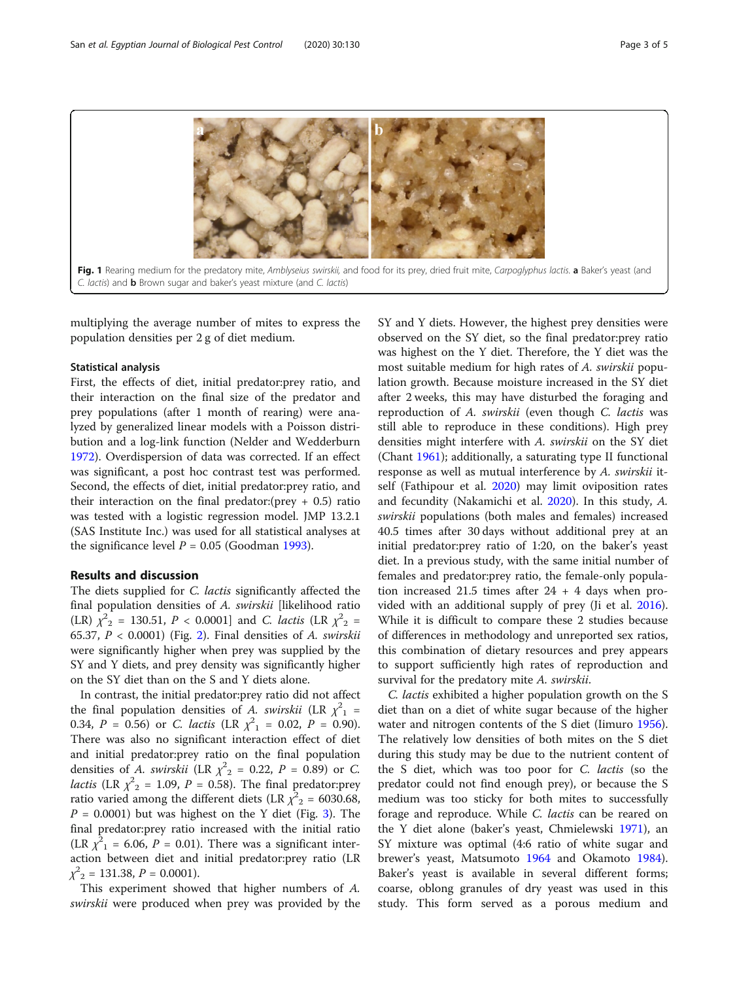<span id="page-2-0"></span>

multiplying the average number of mites to express the population densities per 2 g of diet medium.

#### Statistical analysis

First, the effects of diet, initial predator:prey ratio, and their interaction on the final size of the predator and prey populations (after 1 month of rearing) were analyzed by generalized linear models with a Poisson distribution and a log-link function (Nelder and Wedderburn [1972](#page-4-0)). Overdispersion of data was corrected. If an effect was significant, a post hoc contrast test was performed. Second, the effects of diet, initial predator:prey ratio, and their interaction on the final predator: (prey  $+$  0.5) ratio was tested with a logistic regression model. JMP 13.2.1 (SAS Institute Inc.) was used for all statistical analyses at the significance level  $P = 0.05$  (Goodman [1993\)](#page-4-0).

#### Results and discussion

The diets supplied for *C. lactis* significantly affected the final population densities of A. swirskii [likelihood ratio (LR)  $\chi^2$ <sub>2</sub> = 130.51, *P* < 0.0001] and *C. lactis* (LR  $\chi^2$ <sub>2</sub> = 65.37,  $P < 0.0001$ ) (Fig. [2\)](#page-3-0). Final densities of A. swirskii were significantly higher when prey was supplied by the SY and Y diets, and prey density was significantly higher on the SY diet than on the S and Y diets alone.

In contrast, the initial predator:prey ratio did not affect the final population densities of A. swirskii (LR  $\chi^2_{1}$  = 0.34,  $P = 0.56$ ) or *C. lactis* (LR  $\chi^2_{1} = 0.02$ ,  $P = 0.90$ ). There was also no significant interaction effect of diet and initial predator:prey ratio on the final population densities of *A. swirskii* (LR  $\chi^2$ <sub>2</sub> = 0.22, *P* = 0.89) or *C. lactis* (LR  $\chi^2$ <sub>2</sub> = 1.09, *P* = 0.58). The final predator:prey ratio varied among the different diets (LR  $\chi^2{}_{2}$  = 6030.68,  $P = 0.0001$ ) but was highest on the Y diet (Fig. [3](#page-3-0)). The final predator:prey ratio increased with the initial ratio (LR  $\chi^2$ <sub>1</sub> = 6.06, *P* = 0.01). There was a significant interaction between diet and initial predator:prey ratio (LR  $\chi^2_{2} = 131.38, P = 0.0001.$ 

This experiment showed that higher numbers of A. swirskii were produced when prey was provided by the SY and Y diets. However, the highest prey densities were observed on the SY diet, so the final predator:prey ratio was highest on the Y diet. Therefore, the Y diet was the most suitable medium for high rates of A. swirskii population growth. Because moisture increased in the SY diet after 2 weeks, this may have disturbed the foraging and reproduction of A. swirskii (even though C. lactis was still able to reproduce in these conditions). High prey densities might interfere with A. swirskii on the SY diet (Chant [1961\)](#page-4-0); additionally, a saturating type II functional response as well as mutual interference by A. swirskii itself (Fathipour et al. [2020](#page-4-0)) may limit oviposition rates and fecundity (Nakamichi et al. [2020](#page-4-0)). In this study, A. swirskii populations (both males and females) increased 40.5 times after 30 days without additional prey at an initial predator:prey ratio of 1:20, on the baker's yeast diet. In a previous study, with the same initial number of females and predator:prey ratio, the female-only population increased 21.5 times after  $24 + 4$  days when provided with an additional supply of prey (Ji et al. [2016](#page-4-0)). While it is difficult to compare these 2 studies because of differences in methodology and unreported sex ratios, this combination of dietary resources and prey appears to support sufficiently high rates of reproduction and survival for the predatory mite A. swirskii.

C. lactis exhibited a higher population growth on the S diet than on a diet of white sugar because of the higher water and nitrogen contents of the S diet (Iimuro [1956](#page-4-0)). The relatively low densities of both mites on the S diet during this study may be due to the nutrient content of the S diet, which was too poor for C. lactis (so the predator could not find enough prey), or because the S medium was too sticky for both mites to successfully forage and reproduce. While *C. lactis* can be reared on the Y diet alone (baker's yeast, Chmielewski [1971\)](#page-4-0), an SY mixture was optimal (4:6 ratio of white sugar and brewer's yeast, Matsumoto [1964](#page-4-0) and Okamoto [1984](#page-4-0)). Baker's yeast is available in several different forms; coarse, oblong granules of dry yeast was used in this study. This form served as a porous medium and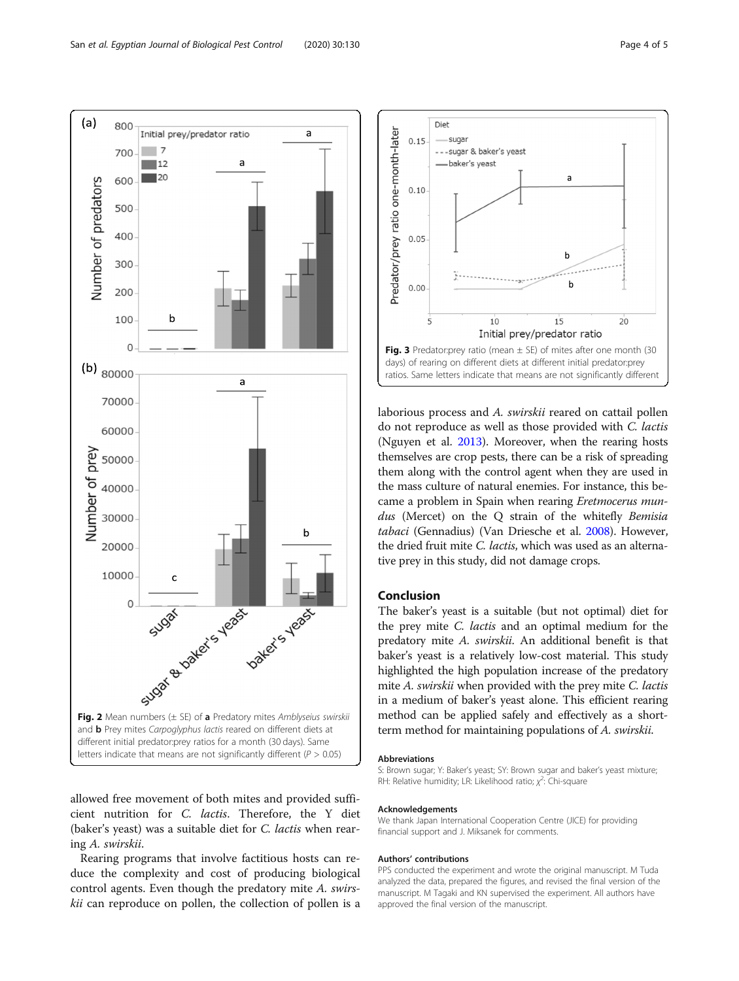<span id="page-3-0"></span>

allowed free movement of both mites and provided sufficient nutrition for C. lactis. Therefore, the Y diet (baker's yeast) was a suitable diet for C. lactis when rearing A. swirskii.

Rearing programs that involve factitious hosts can reduce the complexity and cost of producing biological control agents. Even though the predatory mite A. swirskii can reproduce on pollen, the collection of pollen is a



laborious process and A. swirskii reared on cattail pollen do not reproduce as well as those provided with C. lactis (Nguyen et al. [2013\)](#page-4-0). Moreover, when the rearing hosts themselves are crop pests, there can be a risk of spreading them along with the control agent when they are used in the mass culture of natural enemies. For instance, this became a problem in Spain when rearing Eretmocerus mundus (Mercet) on the O strain of the whitefly Bemisia tabaci (Gennadius) (Van Driesche et al. [2008\)](#page-4-0). However, the dried fruit mite C. lactis, which was used as an alternative prey in this study, did not damage crops.

#### Conclusion

The baker's yeast is a suitable (but not optimal) diet for the prey mite C. lactis and an optimal medium for the predatory mite A. swirskii. An additional benefit is that baker's yeast is a relatively low-cost material. This study highlighted the high population increase of the predatory mite A. swirskii when provided with the prey mite C. lactis in a medium of baker's yeast alone. This efficient rearing method can be applied safely and effectively as a shortterm method for maintaining populations of A. swirskii.

#### Abbreviations

S: Brown sugar; Y: Baker's yeast; SY: Brown sugar and baker's yeast mixture; RH: Relative humidity; LR: Likelihood ratio;  $\chi^2$ : Chi-square

#### Acknowledgements

We thank Japan International Cooperation Centre (JICE) for providing financial support and J. Miksanek for comments.

#### Authors' contributions

PPS conducted the experiment and wrote the original manuscript. M Tuda analyzed the data, prepared the figures, and revised the final version of the manuscript. M Tagaki and KN supervised the experiment. All authors have approved the final version of the manuscript.